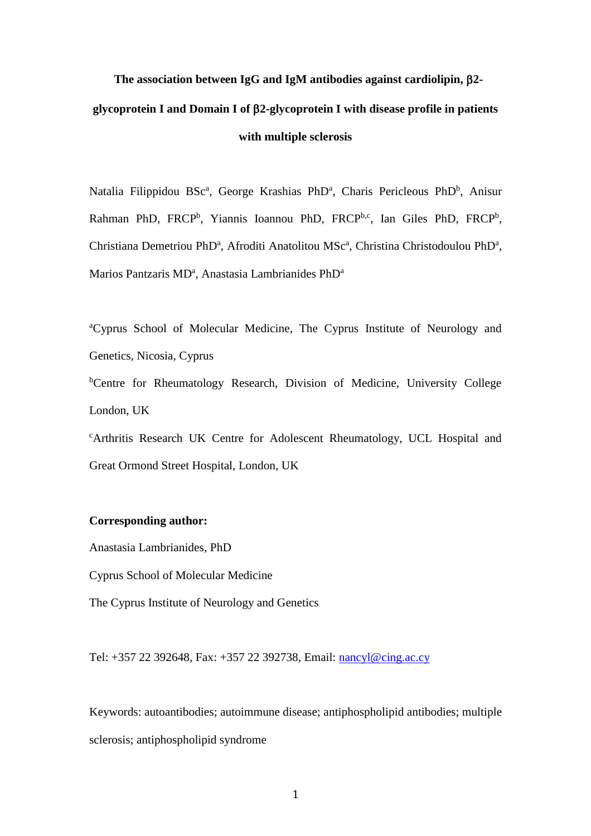# **The association between IgG and IgM antibodies against cardiolipin, 2 glycoprotein I and Domain I of 2-glycoprotein I with disease profile in patients with multiple sclerosis**

Natalia Filippidou BSc<sup>a</sup>, George Krashias PhD<sup>a</sup>, Charis Pericleous PhD<sup>b</sup>, Anisur Rahman PhD, FRCP<sup>b</sup>, Yiannis Ioannou PhD, FRCP<sup>b,c</sup>, Ian Giles PhD, FRCP<sup>b</sup>, Christiana Demetriou PhD<sup>a</sup>, Afroditi Anatolitou MSc<sup>a</sup>, Christina Christodoulou PhD<sup>a</sup>, Marios Pantzaris MD<sup>a</sup>, Anastasia Lambrianides PhD<sup>a</sup>

<sup>a</sup>Cyprus School of Molecular Medicine, The Cyprus Institute of Neurology and Genetics, Nicosia, Cyprus

<sup>b</sup>Centre for Rheumatology Research, Division of Medicine, University College London, UK

<sup>c</sup>Arthritis Research UK Centre for Adolescent Rheumatology, UCL Hospital and Great Ormond Street Hospital, London, UK

## **Corresponding author:**

Anastasia Lambrianides, PhD

Cyprus School of Molecular Medicine

The Cyprus Institute of Neurology and Genetics

Tel: +357 22 392648, Fax: +357 22 392738, Email: [nancyl@cing.ac.cy](mailto:nancyl@cing.ac.cy)

Keywords: autoantibodies; autoimmune disease; antiphospholipid antibodies; multiple sclerosis; antiphospholipid syndrome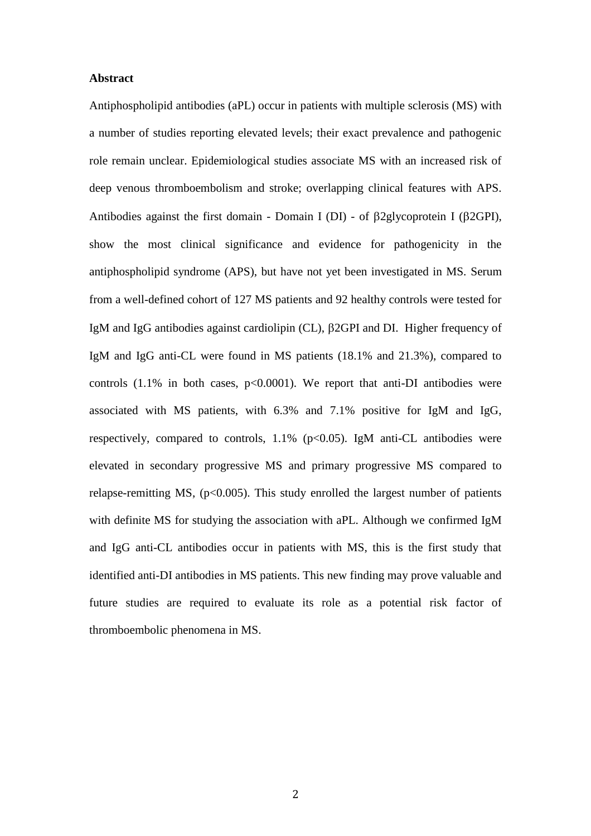## **Abstract**

Antiphospholipid antibodies (aPL) occur in patients with multiple sclerosis (MS) with a number of studies reporting elevated levels; their exact prevalence and pathogenic role remain unclear. Epidemiological studies associate MS with an increased risk of deep venous thromboembolism and stroke; overlapping clinical features with APS. Antibodies against the first domain - Domain I (DI) - of  $\beta$ 2glycoprotein I ( $\beta$ 2GPI), show the most clinical significance and evidence for pathogenicity in the antiphospholipid syndrome (APS), but have not yet been investigated in MS. Serum from a well-defined cohort of 127 MS patients and 92 healthy controls were tested for IgM and IgG antibodies against cardiolipin (CL), β2GPI and DI. Higher frequency of IgM and IgG anti-CL were found in MS patients (18.1% and 21.3%), compared to controls  $(1.1\%$  in both cases,  $p<0.0001$ ). We report that anti-DI antibodies were associated with MS patients, with 6.3% and 7.1% positive for IgM and IgG, respectively, compared to controls,  $1.1\%$  (p<0.05). IgM anti-CL antibodies were elevated in secondary progressive MS and primary progressive MS compared to relapse-remitting MS,  $(p<0.005)$ . This study enrolled the largest number of patients with definite MS for studying the association with aPL. Although we confirmed IgM and IgG anti-CL antibodies occur in patients with MS, this is the first study that identified anti-DI antibodies in MS patients. This new finding may prove valuable and future studies are required to evaluate its role as a potential risk factor of thromboembolic phenomena in MS.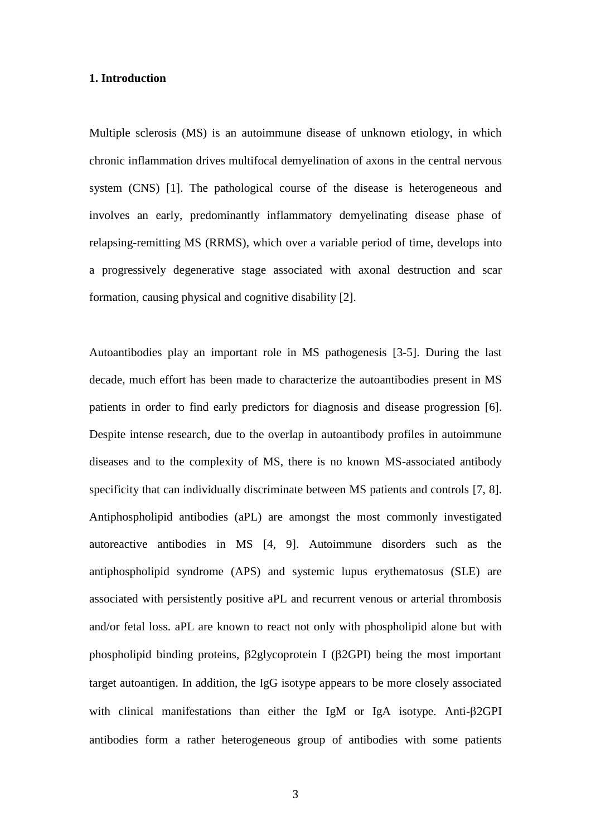## **1. Introduction**

Multiple sclerosis (MS) is an autoimmune disease of unknown etiology, in which chronic inflammation drives multifocal demyelination of axons in the central nervous system (CNS) [\[1\]](#page-15-0). The pathological course of the disease is heterogeneous and involves an early, predominantly inflammatory demyelinating disease phase of relapsing-remitting MS (RRMS), which over a variable period of time, develops into a progressively degenerative stage associated with axonal destruction and scar formation, causing physical and cognitive disability [\[2\]](#page-15-1).

Autoantibodies play an important role in MS pathogenesis [\[3-5\]](#page-15-2). During the last decade, much effort has been made to characterize the autoantibodies present in MS patients in order to find early predictors for diagnosis and disease progression [\[6\]](#page-16-0). Despite intense research, due to the overlap in autoantibody profiles in autoimmune diseases and to the complexity of MS, there is no known MS-associated antibody specificity that can individually discriminate between MS patients and controls [\[7,](#page-16-1) [8\]](#page-16-2). Antiphospholipid antibodies (aPL) are amongst the most commonly investigated autoreactive antibodies in MS [\[4,](#page-15-3) [9\]](#page-16-3). Autoimmune disorders such as the antiphospholipid syndrome (APS) and systemic lupus erythematosus (SLE) are associated with persistently positive aPL and recurrent venous or arterial thrombosis and/or fetal loss. aPL are known to react not only with phospholipid alone but with phospholipid binding proteins,  $\beta$ 2glycoprotein I ( $\beta$ 2GPI) being the most important target autoantigen. In addition, the IgG isotype appears to be more closely associated with clinical manifestations than either the IgM or IgA isotype. Anti- $\beta$ 2GPI antibodies form a rather heterogeneous group of antibodies with some patients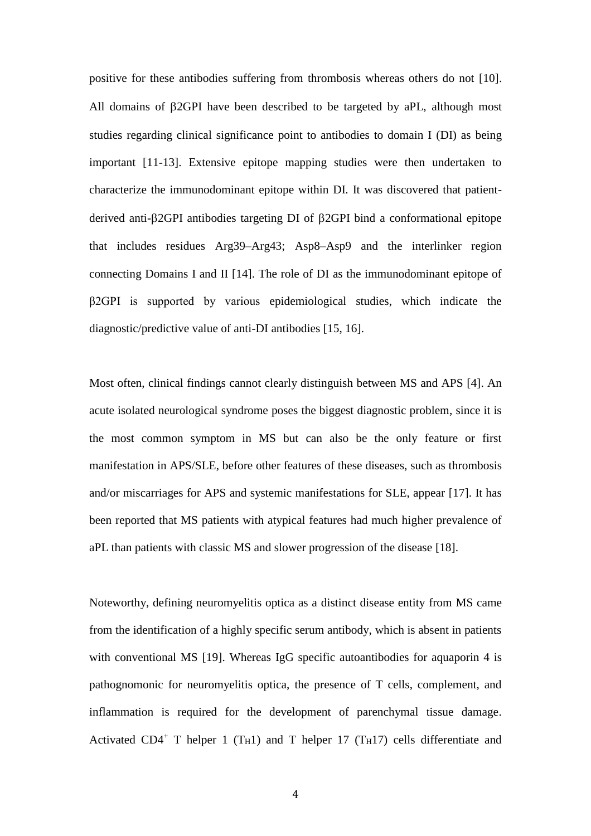positive for these antibodies suffering from thrombosis whereas others do not [\[10\]](#page-16-4). All domains of  $\beta$ 2GPI have been described to be targeted by aPL, although most studies regarding clinical significance point to antibodies to domain I (DI) as being important [\[11-13\]](#page-16-5). Extensive epitope mapping studies were then undertaken to characterize the immunodominant epitope within DI. It was discovered that patientderived anti- $\beta$ 2GPI antibodies targeting DI of  $\beta$ 2GPI bind a conformational epitope that includes residues Arg39–Arg43; Asp8–Asp9 and the interlinker region connecting Domains I and II [\[14\]](#page-17-0). The role of DI as the immunodominant epitope of β2GPI is supported by various epidemiological studies, which indicate the diagnostic/predictive value of anti-DI antibodies [\[15,](#page-17-1) [16\]](#page-17-2).

Most often, clinical findings cannot clearly distinguish between MS and APS [\[4\]](#page-15-3). An acute isolated neurological syndrome poses the biggest diagnostic problem, since it is the most common symptom in MS but can also be the only feature or first manifestation in APS/SLE, before other features of these diseases, such as thrombosis and/or miscarriages for APS and systemic manifestations for SLE, appear [\[17\]](#page-17-3). It has been reported that MS patients with atypical features had much higher prevalence of aPL than patients with classic MS and slower progression of the disease [\[18\]](#page-17-4).

Noteworthy, defining neuromyelitis optica as a distinct disease entity from MS came from the identification of a highly specific serum antibody, which is absent in patients with conventional MS [\[19\]](#page-17-5). Whereas IgG specific autoantibodies for aquaporin 4 is pathognomonic for neuromyelitis optica, the presence of T cells, complement, and inflammation is required for the development of parenchymal tissue damage. Activated CD4<sup>+</sup> T helper 1 (T<sub>H</sub>1) and T helper 17 (T<sub>H</sub>17) cells differentiate and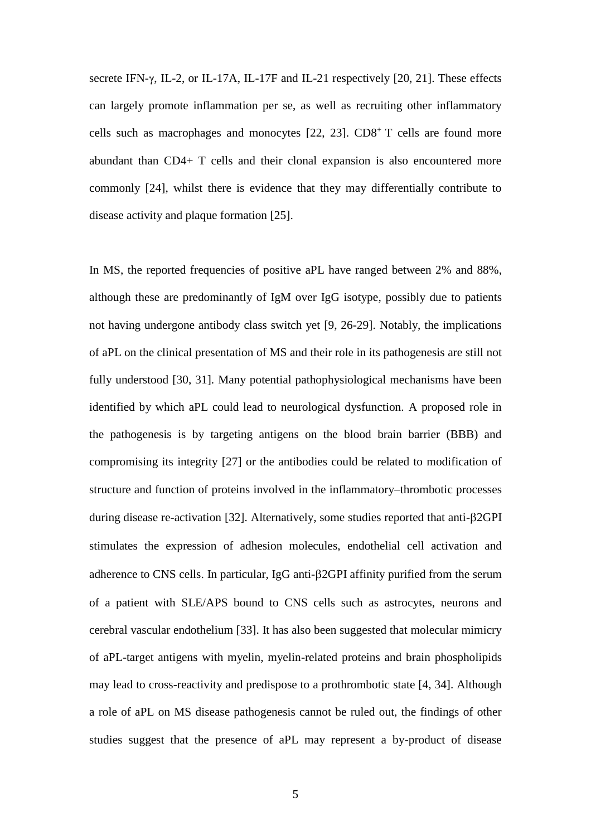secrete IFN-γ, IL-2, or IL-17A, IL-17F and IL-21 respectively [\[20,](#page-17-6) [21\]](#page-17-7). These effects can largely promote inflammation per se, as well as recruiting other inflammatory cells such as macrophages and monocytes [\[22,](#page-18-0) [23\]](#page-18-1). CD8<sup>+</sup>T cells are found more abundant than CD4+ T cells and their clonal expansion is also encountered more commonly [\[24\]](#page-18-2), whilst there is evidence that they may differentially contribute to disease activity and plaque formation [\[25\]](#page-18-3).

In MS, the reported frequencies of positive aPL have ranged between 2% and 88%, although these are predominantly of IgM over IgG isotype, possibly due to patients not having undergone antibody class switch yet [\[9,](#page-16-3) [26-29\]](#page-18-4). Notably, the implications of aPL on the clinical presentation of MS and their role in its pathogenesis are still not fully understood [\[30,](#page-19-0) [31\]](#page-19-1). Many potential pathophysiological mechanisms have been identified by which aPL could lead to neurological dysfunction. A proposed role in the pathogenesis is by targeting antigens on the blood brain barrier (BBB) and compromising its integrity [\[27\]](#page-18-5) or the antibodies could be related to modification of structure and function of proteins involved in the inflammatory–thrombotic processes during disease re-activation [\[32\]](#page-19-2). Alternatively, some studies reported that anti-2GPI stimulates the expression of adhesion molecules, endothelial cell activation and adherence to CNS cells. In particular, IgG anti- $\beta$ 2GPI affinity purified from the serum of a patient with SLE/APS bound to CNS cells such as astrocytes, neurons and cerebral vascular endothelium [\[33\]](#page-19-3). It has also been suggested that molecular mimicry of aPL-target antigens with myelin, myelin-related proteins and brain phospholipids may lead to cross-reactivity and predispose to a prothrombotic state [\[4,](#page-15-3) [34\]](#page-19-4). Although a role of aPL on MS disease pathogenesis cannot be ruled out, the findings of other studies suggest that the presence of aPL may represent a by-product of disease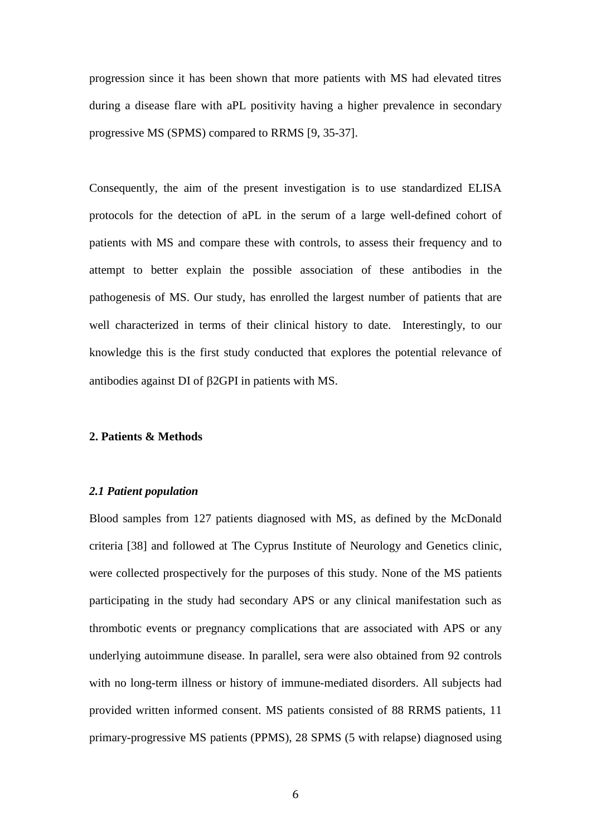progression since it has been shown that more patients with MS had elevated titres during a disease flare with aPL positivity having a higher prevalence in secondary progressive MS (SPMS) compared to RRMS [\[9,](#page-16-3) [35-37\]](#page-19-5).

Consequently, the aim of the present investigation is to use standardized ELISA protocols for the detection of aPL in the serum of a large well-defined cohort of patients with MS and compare these with controls, to assess their frequency and to attempt to better explain the possible association of these antibodies in the pathogenesis of MS. Our study, has enrolled the largest number of patients that are well characterized in terms of their clinical history to date. Interestingly, to our knowledge this is the first study conducted that explores the potential relevance of antibodies against DI of  $\beta$ 2GPI in patients with MS.

## **2. Patients & Methods**

## *2.1 Patient population*

Blood samples from 127 patients diagnosed with MS, as defined by the McDonald criteria [\[38\]](#page-20-0) and followed at The Cyprus Institute of Neurology and Genetics clinic, were collected prospectively for the purposes of this study. None of the MS patients participating in the study had secondary APS or any clinical manifestation such as thrombotic events or pregnancy complications that are associated with APS or any underlying autoimmune disease. In parallel, sera were also obtained from 92 controls with no long-term illness or history of immune-mediated disorders. All subjects had provided written informed consent. MS patients consisted of 88 RRMS patients, 11 primary-progressive MS patients (PPMS), 28 SPMS (5 with relapse) diagnosed using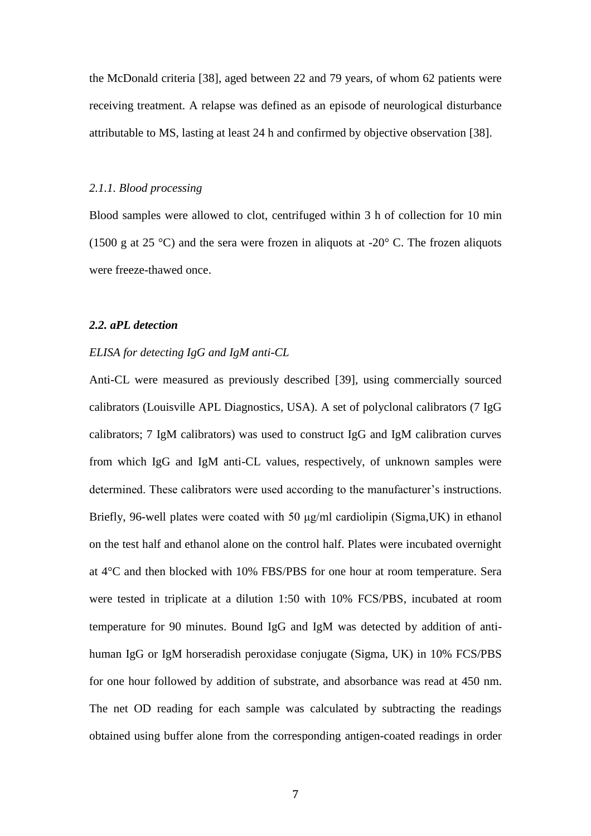the McDonald criteria [\[38\]](#page-20-0), aged between 22 and 79 years, of whom 62 patients were receiving treatment. A relapse was defined as an episode of neurological disturbance attributable to MS, lasting at least 24 h and confirmed by objective observation [\[38\]](#page-20-0).

## *2.1.1. Blood processing*

Blood samples were allowed to clot, centrifuged within 3 h of collection for 10 min (1500 g at 25 °C) and the sera were frozen in aliquots at -20 $\degree$  C. The frozen aliquots were freeze-thawed once.

## *2.2. aPL detection*

## *ELISA for detecting IgG and IgM anti-CL*

Anti-CL were measured as previously described [\[39\]](#page-20-1), using commercially sourced calibrators (Louisville APL Diagnostics, USA). A set of polyclonal calibrators (7 IgG calibrators; 7 IgM calibrators) was used to construct IgG and IgM calibration curves from which IgG and IgM anti-CL values, respectively, of unknown samples were determined. These calibrators were used according to the manufacturer's instructions. Briefly, 96-well plates were coated with 50 μg/ml cardiolipin (Sigma,UK) in ethanol on the test half and ethanol alone on the control half. Plates were incubated overnight at 4°C and then blocked with 10% FBS/PBS for one hour at room temperature. Sera were tested in triplicate at a dilution 1:50 with 10% FCS/PBS, incubated at room temperature for 90 minutes. Bound IgG and IgM was detected by addition of antihuman IgG or IgM horseradish peroxidase conjugate (Sigma, UK) in 10% FCS/PBS for one hour followed by addition of substrate, and absorbance was read at 450 nm. The net OD reading for each sample was calculated by subtracting the readings obtained using buffer alone from the corresponding antigen-coated readings in order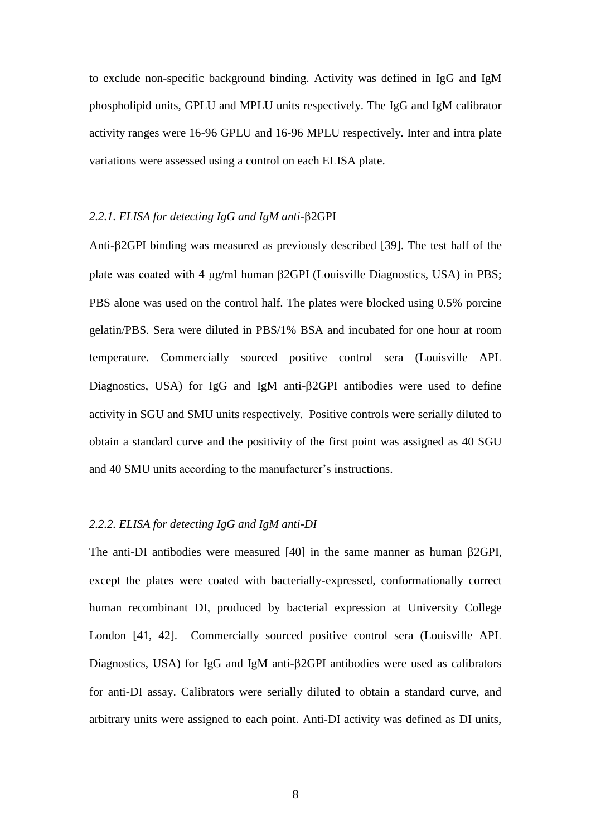to exclude non-specific background binding. Activity was defined in IgG and IgM phospholipid units, GPLU and MPLU units respectively. The IgG and IgM calibrator activity ranges were 16-96 GPLU and 16-96 MPLU respectively. Inter and intra plate variations were assessed using a control on each ELISA plate.

## 2.2.1. ELISA for detecting IgG and IgM anti- $\beta$ 2GPI

Anti- $\beta$ 2GPI binding was measured as previously described [\[39\]](#page-20-1). The test half of the plate was coated with 4  $\mu$ g/ml human  $\beta$ 2GPI (Louisville Diagnostics, USA) in PBS; PBS alone was used on the control half. The plates were blocked using 0.5% porcine gelatin/PBS. Sera were diluted in PBS/1% BSA and incubated for one hour at room temperature. Commercially sourced positive control sera (Louisville APL Diagnostics, USA) for IgG and IgM anti- $\beta$ 2GPI antibodies were used to define activity in SGU and SMU units respectively. Positive controls were serially diluted to obtain a standard curve and the positivity of the first point was assigned as 40 SGU and 40 SMU units according to the manufacturer's instructions.

## *2.2.2. ELISA for detecting IgG and IgM anti-DI*

The anti-DI antibodies were measured  $[40]$  in the same manner as human  $\beta$ 2GPI, except the plates were coated with bacterially-expressed, conformationally correct human recombinant DI, produced by bacterial expression at University College London [\[41,](#page-20-3) [42\]](#page-20-4). Commercially sourced positive control sera (Louisville APL Diagnostics, USA) for IgG and IgM anti- $\beta$ 2GPI antibodies were used as calibrators for anti-DI assay. Calibrators were serially diluted to obtain a standard curve, and arbitrary units were assigned to each point. Anti-DI activity was defined as DI units,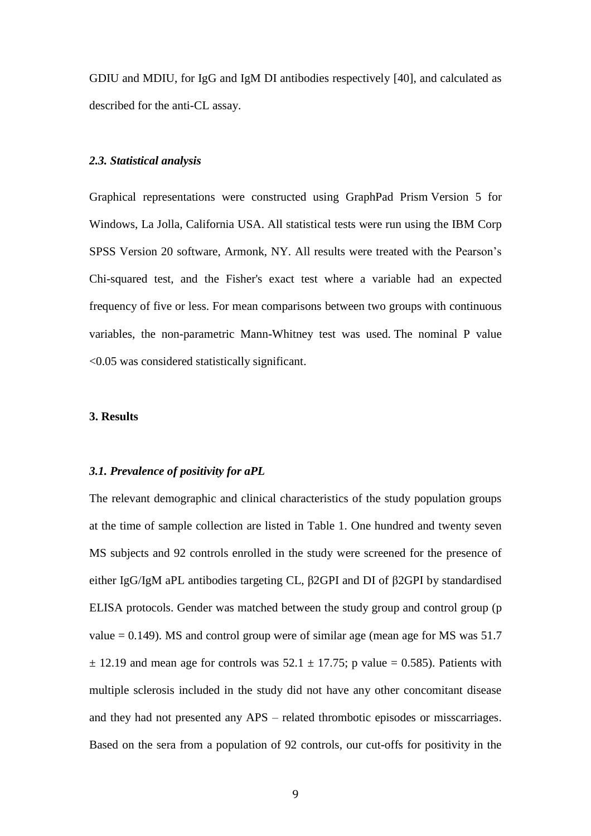GDIU and MDIU, for IgG and IgM DI antibodies respectively [\[40\]](#page-20-2), and calculated as described for the anti-CL assay.

## *2.3. Statistical analysis*

Graphical representations were constructed using GraphPad Prism Version 5 for Windows, La Jolla, California USA. All statistical tests were run using the IBM Corp SPSS Version 20 software, Armonk, NY. All results were treated with the Pearson's Chi-squared test, and the Fisher's exact test where a variable had an expected frequency of five or less. For mean comparisons between two groups with continuous variables, the non-parametric Mann-Whitney test was used. The nominal P value <0.05 was considered statistically significant.

## **3. Results**

#### *3.1. Prevalence of positivity for aPL*

The relevant demographic and clinical characteristics of the study population groups at the time of sample collection are listed in Table 1. One hundred and twenty seven MS subjects and 92 controls enrolled in the study were screened for the presence of either IgG/IgM aPL antibodies targeting CL, β2GPI and DI of β2GPI by standardised ELISA protocols. Gender was matched between the study group and control group (p value  $= 0.149$ ). MS and control group were of similar age (mean age for MS was 51.7  $\pm$  12.19 and mean age for controls was 52.1  $\pm$  17.75; p value = 0.585). Patients with multiple sclerosis included in the study did not have any other concomitant disease and they had not presented any APS – related thrombotic episodes or misscarriages. Based on the sera from a population of 92 controls, our cut-offs for positivity in the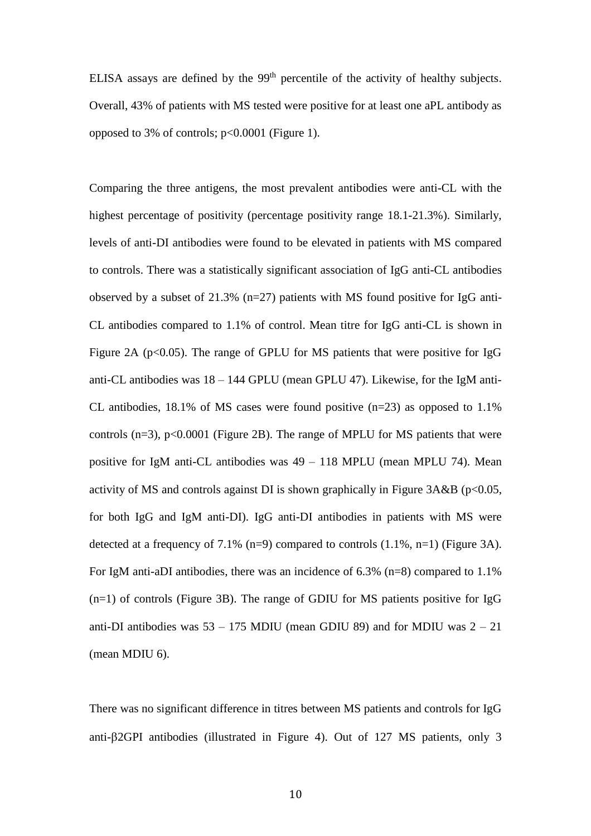ELISA assays are defined by the 99<sup>th</sup> percentile of the activity of healthy subjects. Overall, 43% of patients with MS tested were positive for at least one aPL antibody as opposed to 3% of controls; p<0.0001 (Figure 1).

Comparing the three antigens, the most prevalent antibodies were anti-CL with the highest percentage of positivity (percentage positivity range 18.1-21.3%). Similarly, levels of anti-DI antibodies were found to be elevated in patients with MS compared to controls. There was a statistically significant association of IgG anti-CL antibodies observed by a subset of 21.3% (n=27) patients with MS found positive for IgG anti-CL antibodies compared to 1.1% of control. Mean titre for IgG anti-CL is shown in Figure 2A ( $p<0.05$ ). The range of GPLU for MS patients that were positive for IgG anti-CL antibodies was 18 – 144 GPLU (mean GPLU 47). Likewise, for the IgM anti-CL antibodies, 18.1% of MS cases were found positive (n=23) as opposed to 1.1% controls  $(n=3)$ ,  $p<0.0001$  (Figure 2B). The range of MPLU for MS patients that were positive for IgM anti-CL antibodies was 49 – 118 MPLU (mean MPLU 74). Mean activity of MS and controls against DI is shown graphically in Figure  $3A&B$  (p<0.05, for both IgG and IgM anti-DI). IgG anti-DI antibodies in patients with MS were detected at a frequency of 7.1% (n=9) compared to controls (1.1%, n=1) (Figure 3A). For IgM anti-aDI antibodies, there was an incidence of 6.3% (n=8) compared to  $1.1\%$ (n=1) of controls (Figure 3B). The range of GDIU for MS patients positive for IgG anti-DI antibodies was  $53 - 175$  MDIU (mean GDIU 89) and for MDIU was  $2 - 21$ (mean MDIU 6).

There was no significant difference in titres between MS patients and controls for IgG anti- $\beta$ 2GPI antibodies (illustrated in Figure 4). Out of 127 MS patients, only 3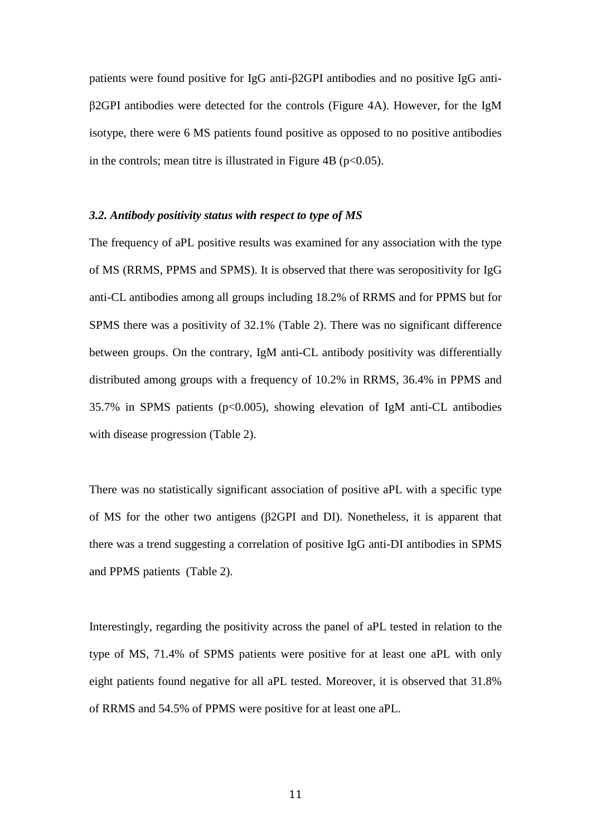patients were found positive for IgG anti-β2GPI antibodies and no positive IgG antiβ2GPI antibodies were detected for the controls (Figure 4A). However, for the IgM isotype, there were 6 MS patients found positive as opposed to no positive antibodies in the controls; mean titre is illustrated in Figure 4B ( $p<0.05$ ).

## *3.2. Antibody positivity status with respect to type of MS*

The frequency of aPL positive results was examined for any association with the type of MS (RRMS, PPMS and SPMS). It is observed that there was seropositivity for IgG anti-CL antibodies among all groups including 18.2% of RRMS and for PPMS but for SPMS there was a positivity of 32.1% (Table 2). There was no significant difference between groups. On the contrary, IgM anti-CL antibody positivity was differentially distributed among groups with a frequency of 10.2% in RRMS, 36.4% in PPMS and 35.7% in SPMS patients (p<0.005), showing elevation of IgM anti-CL antibodies with disease progression (Table 2).

There was no statistically significant association of positive aPL with a specific type of MS for the other two antigens (β2GPI and DI). Nonetheless, it is apparent that there was a trend suggesting a correlation of positive IgG anti-DI antibodies in SPMS and PPMS patients (Table 2).

Interestingly, regarding the positivity across the panel of aPL tested in relation to the type of MS, 71.4% of SPMS patients were positive for at least one aPL with only eight patients found negative for all aPL tested. Moreover, it is observed that 31.8% of RRMS and 54.5% of PPMS were positive for at least one aPL.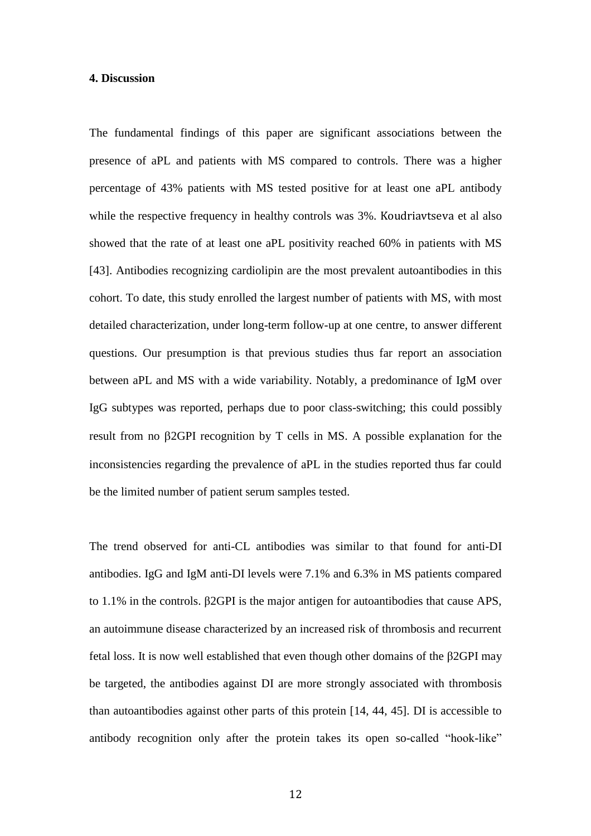## **4. Discussion**

The fundamental findings of this paper are significant associations between the presence of aPL and patients with MS compared to controls. There was a higher percentage of 43% patients with MS tested positive for at least one aPL antibody while the respective frequency in healthy controls was 3%. Koudriavtseva et al also showed that the rate of at least one aPL positivity reached 60% in patients with MS [\[43\]](#page-20-5). Antibodies recognizing cardiolipin are the most prevalent autoantibodies in this cohort. To date, this study enrolled the largest number of patients with MS, with most detailed characterization, under long-term follow-up at one centre, to answer different questions. Our presumption is that previous studies thus far report an association between aPL and MS with a wide variability. Notably, a predominance of IgM over IgG subtypes was reported, perhaps due to poor class-switching; this could possibly result from no 2GPI recognition by T cells in MS. A possible explanation for the inconsistencies regarding the prevalence of aPL in the studies reported thus far could be the limited number of patient serum samples tested.

The trend observed for anti-CL antibodies was similar to that found for anti-DI antibodies. IgG and IgM anti-DI levels were 7.1% and 6.3% in MS patients compared to 1.1% in the controls. β2GPI is the major antigen for autoantibodies that cause APS, an autoimmune disease characterized by an increased risk of thrombosis and recurrent fetal loss. It is now well established that even though other domains of the β2GPI may be targeted, the antibodies against DI are more strongly associated with thrombosis than autoantibodies against other parts of this protein [\[14,](#page-17-0) [44,](#page-21-0) [45\]](#page-21-1). DI is accessible to antibody recognition only after the protein takes its open so-called "hook-like"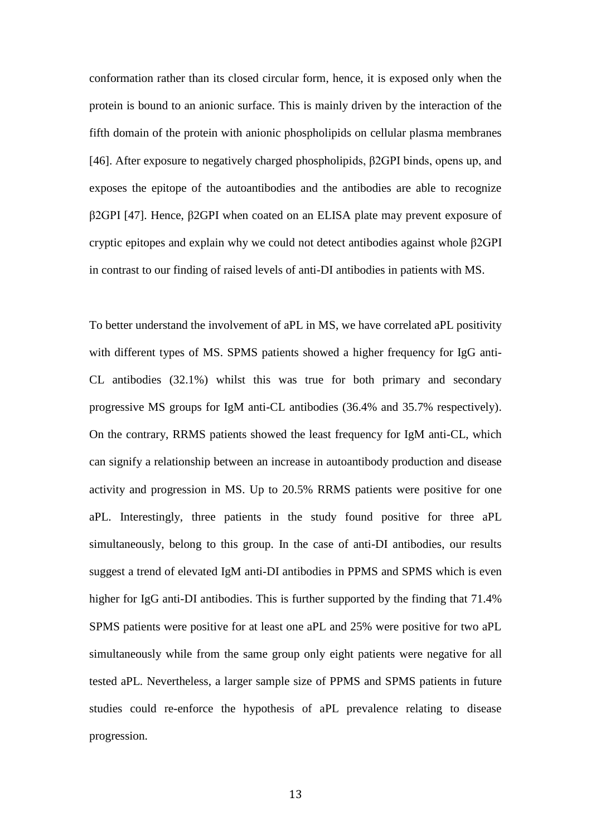conformation rather than its closed circular form, hence, it is exposed only when the protein is bound to an anionic surface. This is mainly driven by the interaction of the fifth domain of the protein with anionic phospholipids on cellular plasma membranes [\[46\]](#page-21-2). After exposure to negatively charged phospholipids, β2GPI binds, opens up, and exposes the epitope of the autoantibodies and the antibodies are able to recognize β2GPI [\[47\]](#page-21-3). Hence, β2GPI when coated on an ELISA plate may prevent exposure of cryptic epitopes and explain why we could not detect antibodies against whole β2GPI in contrast to our finding of raised levels of anti-DI antibodies in patients with MS.

To better understand the involvement of aPL in MS, we have correlated aPL positivity with different types of MS. SPMS patients showed a higher frequency for IgG anti-CL antibodies (32.1%) whilst this was true for both primary and secondary progressive MS groups for IgM anti-CL antibodies (36.4% and 35.7% respectively). On the contrary, RRMS patients showed the least frequency for IgM anti-CL, which can signify a relationship between an increase in autoantibody production and disease activity and progression in MS. Up to 20.5% RRMS patients were positive for one aPL. Interestingly, three patients in the study found positive for three aPL simultaneously, belong to this group. In the case of anti-DI antibodies, our results suggest a trend of elevated IgM anti-DI antibodies in PPMS and SPMS which is even higher for IgG anti-DI antibodies. This is further supported by the finding that 71.4% SPMS patients were positive for at least one aPL and 25% were positive for two aPL simultaneously while from the same group only eight patients were negative for all tested aPL. Nevertheless, a larger sample size of PPMS and SPMS patients in future studies could re-enforce the hypothesis of aPL prevalence relating to disease progression.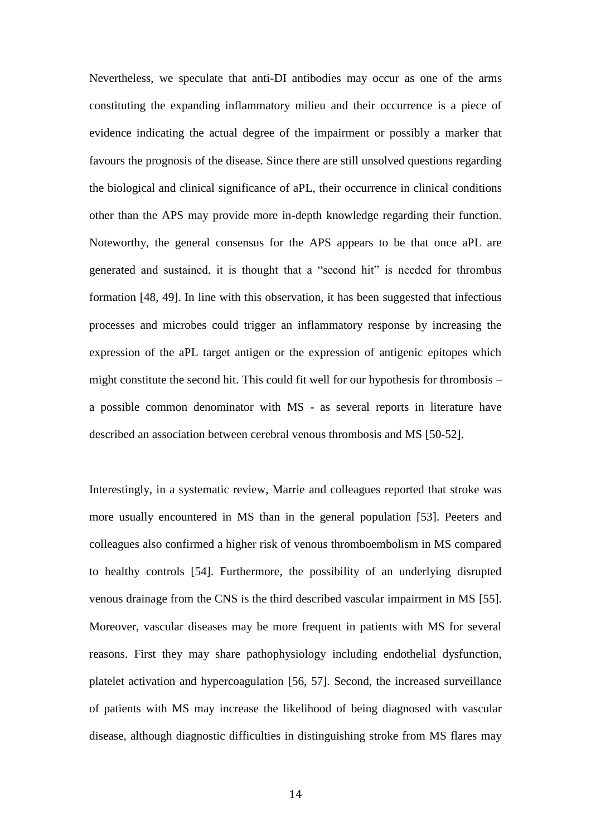Nevertheless, we speculate that anti-DI antibodies may occur as one of the arms constituting the expanding inflammatory milieu and their occurrence is a piece of evidence indicating the actual degree of the impairment or possibly a marker that favours the prognosis of the disease. Since there are still unsolved questions regarding the biological and clinical significance of aPL, their occurrence in clinical conditions other than the APS may provide more in-depth knowledge regarding their function. Noteworthy, the general consensus for the APS appears to be that once aPL are generated and sustained, it is thought that a "second hit" is needed for thrombus formation [\[48,](#page-21-4) [49\]](#page-21-5). In line with this observation, it has been suggested that infectious processes and microbes could trigger an inflammatory response by increasing the expression of the aPL target antigen or the expression of antigenic epitopes which might constitute the second hit. This could fit well for our hypothesis for thrombosis – a possible common denominator with MS - as several reports in literature have described an association between cerebral venous thrombosis and MS [\[50-52\]](#page-21-6).

Interestingly, in a systematic review, Marrie and colleagues reported that stroke was more usually encountered in MS than in the general population [\[53\]](#page-22-0). Peeters and colleagues also confirmed a higher risk of venous thromboembolism in MS compared to healthy controls [\[54\]](#page-22-1). Furthermore, the possibility of an underlying disrupted venous drainage from the CNS is the third described vascular impairment in MS [\[55\]](#page-22-2). Moreover, vascular diseases may be more frequent in patients with MS for several reasons. First they may share pathophysiology including endothelial dysfunction, platelet activation and hypercoagulation [\[56,](#page-22-3) [57\]](#page-22-4). Second, the increased surveillance of patients with MS may increase the likelihood of being diagnosed with vascular disease, although diagnostic difficulties in distinguishing stroke from MS flares may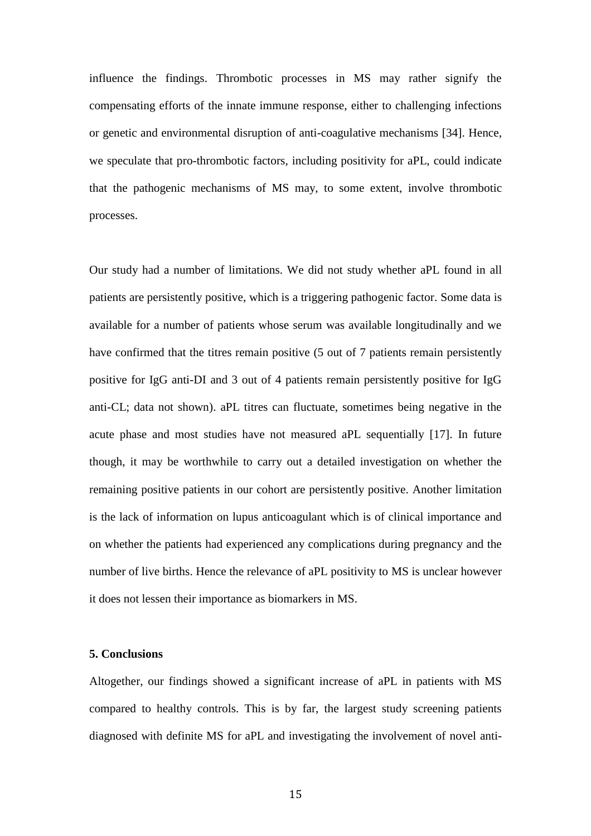influence the findings. Thrombotic processes in MS may rather signify the compensating efforts of the innate immune response, either to challenging infections or genetic and environmental disruption of anti-coagulative mechanisms [\[34\]](#page-19-4). Hence, we speculate that pro-thrombotic factors, including positivity for aPL, could indicate that the pathogenic mechanisms of MS may, to some extent, involve thrombotic processes.

Our study had a number of limitations. We did not study whether aPL found in all patients are persistently positive, which is a triggering pathogenic factor. Some data is available for a number of patients whose serum was available longitudinally and we have confirmed that the titres remain positive (5 out of 7 patients remain persistently positive for IgG anti-DI and 3 out of 4 patients remain persistently positive for IgG anti-CL; data not shown). aPL titres can fluctuate, sometimes being negative in the acute phase and most studies have not measured aPL sequentially [\[17\]](#page-17-3). In future though, it may be worthwhile to carry out a detailed investigation on whether the remaining positive patients in our cohort are persistently positive. Another limitation is the lack of information on lupus anticoagulant which is of clinical importance and on whether the patients had experienced any complications during pregnancy and the number of live births. Hence the relevance of aPL positivity to MS is unclear however it does not lessen their importance as biomarkers in MS.

## **5. Conclusions**

Altogether, our findings showed a significant increase of aPL in patients with MS compared to healthy controls. This is by far, the largest study screening patients diagnosed with definite MS for aPL and investigating the involvement of novel anti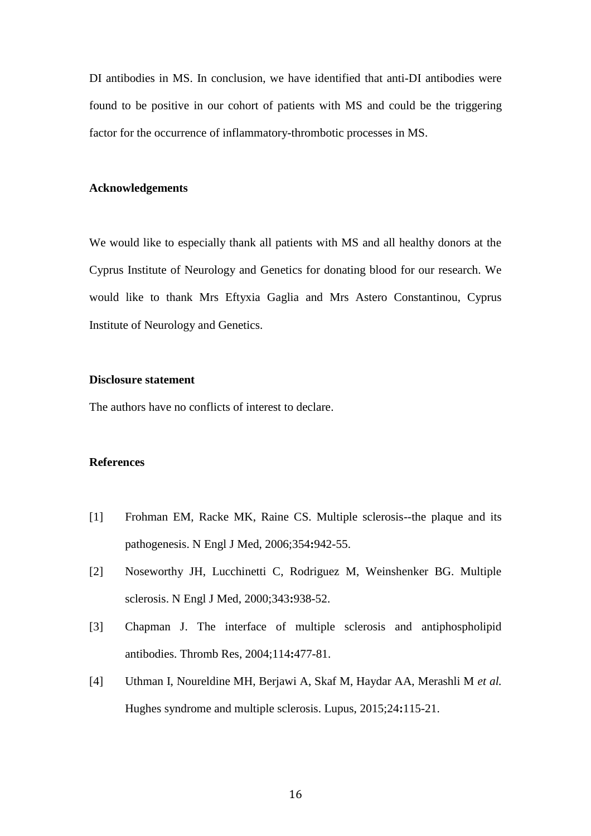DI antibodies in MS. In conclusion, we have identified that anti-DI antibodies were found to be positive in our cohort of patients with MS and could be the triggering factor for the occurrence of inflammatory-thrombotic processes in MS.

## **Acknowledgements**

We would like to especially thank all patients with MS and all healthy donors at the Cyprus Institute of Neurology and Genetics for donating blood for our research. We would like to thank Mrs Eftyxia Gaglia and Mrs Astero Constantinou, Cyprus Institute of Neurology and Genetics.

## **Disclosure statement**

The authors have no conflicts of interest to declare.

## **References**

- <span id="page-15-0"></span>[1] Frohman EM, Racke MK, Raine CS. Multiple sclerosis--the plaque and its pathogenesis. N Engl J Med, 2006;354**:**942-55.
- <span id="page-15-1"></span>[2] Noseworthy JH, Lucchinetti C, Rodriguez M, Weinshenker BG. Multiple sclerosis. N Engl J Med, 2000;343**:**938-52.
- <span id="page-15-2"></span>[3] Chapman J. The interface of multiple sclerosis and antiphospholipid antibodies. Thromb Res, 2004;114**:**477-81.
- <span id="page-15-3"></span>[4] Uthman I, Noureldine MH, Berjawi A, Skaf M, Haydar AA, Merashli M *et al.* Hughes syndrome and multiple sclerosis. Lupus, 2015;24**:**115-21.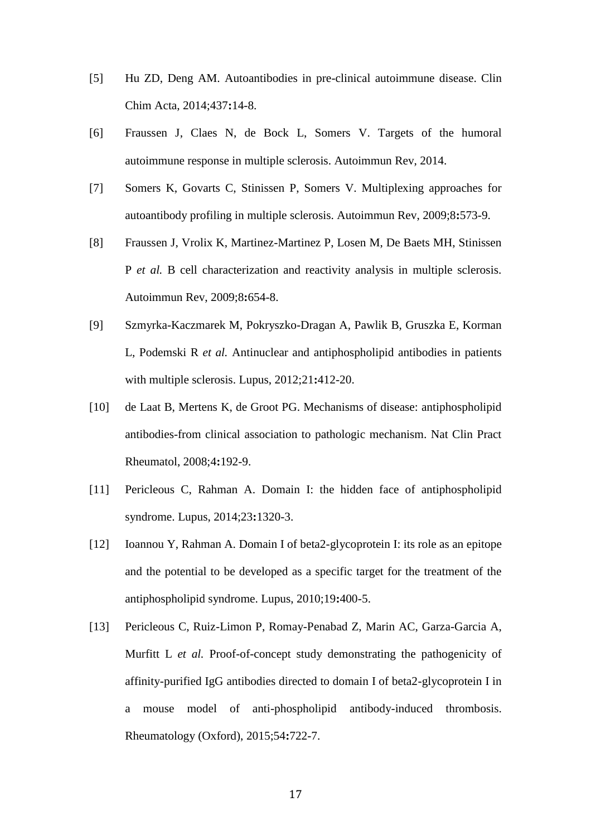- [5] Hu ZD, Deng AM. Autoantibodies in pre-clinical autoimmune disease. Clin Chim Acta, 2014;437**:**14-8.
- <span id="page-16-0"></span>[6] Fraussen J, Claes N, de Bock L, Somers V. Targets of the humoral autoimmune response in multiple sclerosis. Autoimmun Rev, 2014.
- <span id="page-16-1"></span>[7] Somers K, Govarts C, Stinissen P, Somers V. Multiplexing approaches for autoantibody profiling in multiple sclerosis. Autoimmun Rev, 2009;8**:**573-9.
- <span id="page-16-2"></span>[8] Fraussen J, Vrolix K, Martinez-Martinez P, Losen M, De Baets MH, Stinissen P *et al.* B cell characterization and reactivity analysis in multiple sclerosis. Autoimmun Rev, 2009;8**:**654-8.
- <span id="page-16-3"></span>[9] Szmyrka-Kaczmarek M, Pokryszko-Dragan A, Pawlik B, Gruszka E, Korman L, Podemski R *et al.* Antinuclear and antiphospholipid antibodies in patients with multiple sclerosis. Lupus, 2012;21**:**412-20.
- <span id="page-16-4"></span>[10] de Laat B, Mertens K, de Groot PG. Mechanisms of disease: antiphospholipid antibodies-from clinical association to pathologic mechanism. Nat Clin Pract Rheumatol, 2008;4**:**192-9.
- <span id="page-16-5"></span>[11] Pericleous C, Rahman A. Domain I: the hidden face of antiphospholipid syndrome. Lupus, 2014;23**:**1320-3.
- [12] Ioannou Y, Rahman A. Domain I of beta2-glycoprotein I: its role as an epitope and the potential to be developed as a specific target for the treatment of the antiphospholipid syndrome. Lupus, 2010;19**:**400-5.
- [13] Pericleous C, Ruiz-Limon P, Romay-Penabad Z, Marin AC, Garza-Garcia A, Murfitt L *et al.* Proof-of-concept study demonstrating the pathogenicity of affinity-purified IgG antibodies directed to domain I of beta2-glycoprotein I in a mouse model of anti-phospholipid antibody-induced thrombosis. Rheumatology (Oxford), 2015;54**:**722-7.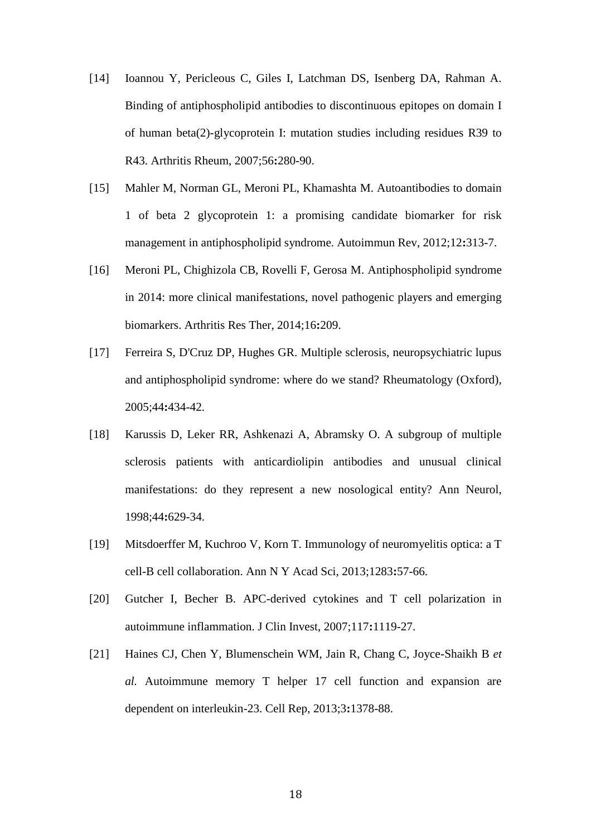- <span id="page-17-0"></span>[14] Ioannou Y, Pericleous C, Giles I, Latchman DS, Isenberg DA, Rahman A. Binding of antiphospholipid antibodies to discontinuous epitopes on domain I of human beta(2)-glycoprotein I: mutation studies including residues R39 to R43. Arthritis Rheum, 2007;56**:**280-90.
- <span id="page-17-1"></span>[15] Mahler M, Norman GL, Meroni PL, Khamashta M. Autoantibodies to domain 1 of beta 2 glycoprotein 1: a promising candidate biomarker for risk management in antiphospholipid syndrome. Autoimmun Rev, 2012;12**:**313-7.
- <span id="page-17-2"></span>[16] Meroni PL, Chighizola CB, Rovelli F, Gerosa M. Antiphospholipid syndrome in 2014: more clinical manifestations, novel pathogenic players and emerging biomarkers. Arthritis Res Ther, 2014;16**:**209.
- <span id="page-17-3"></span>[17] Ferreira S, D'Cruz DP, Hughes GR. Multiple sclerosis, neuropsychiatric lupus and antiphospholipid syndrome: where do we stand? Rheumatology (Oxford), 2005;44**:**434-42.
- <span id="page-17-4"></span>[18] Karussis D, Leker RR, Ashkenazi A, Abramsky O. A subgroup of multiple sclerosis patients with anticardiolipin antibodies and unusual clinical manifestations: do they represent a new nosological entity? Ann Neurol, 1998;44**:**629-34.
- <span id="page-17-5"></span>[19] Mitsdoerffer M, Kuchroo V, Korn T. Immunology of neuromyelitis optica: a T cell-B cell collaboration. Ann N Y Acad Sci, 2013;1283**:**57-66.
- <span id="page-17-6"></span>[20] Gutcher I, Becher B. APC-derived cytokines and T cell polarization in autoimmune inflammation. J Clin Invest, 2007;117**:**1119-27.
- <span id="page-17-7"></span>[21] Haines CJ, Chen Y, Blumenschein WM, Jain R, Chang C, Joyce-Shaikh B *et al.* Autoimmune memory T helper 17 cell function and expansion are dependent on interleukin-23. Cell Rep, 2013;3**:**1378-88.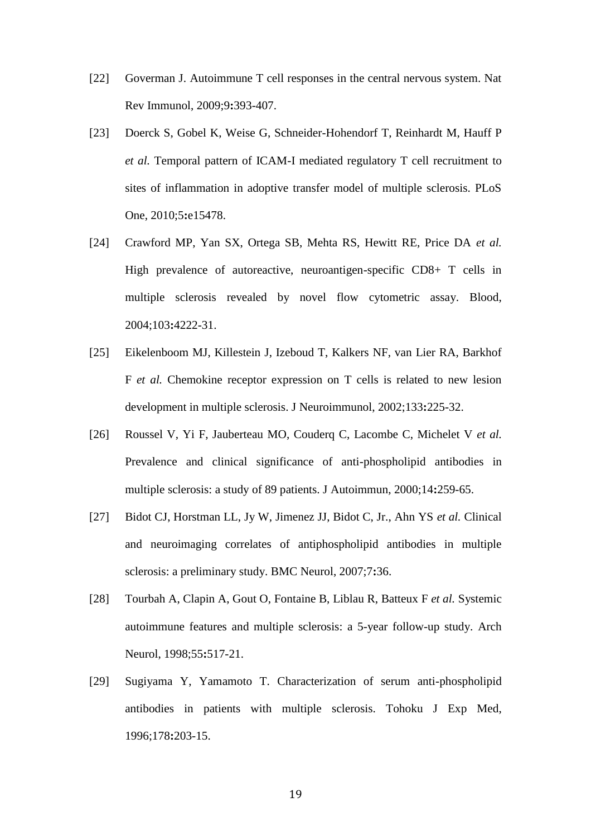- <span id="page-18-0"></span>[22] Goverman J. Autoimmune T cell responses in the central nervous system. Nat Rev Immunol, 2009;9**:**393-407.
- <span id="page-18-1"></span>[23] Doerck S, Gobel K, Weise G, Schneider-Hohendorf T, Reinhardt M, Hauff P *et al.* Temporal pattern of ICAM-I mediated regulatory T cell recruitment to sites of inflammation in adoptive transfer model of multiple sclerosis. PLoS One, 2010;5**:**e15478.
- <span id="page-18-2"></span>[24] Crawford MP, Yan SX, Ortega SB, Mehta RS, Hewitt RE, Price DA *et al.* High prevalence of autoreactive, neuroantigen-specific CD8+ T cells in multiple sclerosis revealed by novel flow cytometric assay. Blood, 2004;103**:**4222-31.
- <span id="page-18-3"></span>[25] Eikelenboom MJ, Killestein J, Izeboud T, Kalkers NF, van Lier RA, Barkhof F *et al.* Chemokine receptor expression on T cells is related to new lesion development in multiple sclerosis. J Neuroimmunol, 2002;133**:**225-32.
- <span id="page-18-4"></span>[26] Roussel V, Yi F, Jauberteau MO, Couderq C, Lacombe C, Michelet V *et al.* Prevalence and clinical significance of anti-phospholipid antibodies in multiple sclerosis: a study of 89 patients. J Autoimmun, 2000;14**:**259-65.
- <span id="page-18-5"></span>[27] Bidot CJ, Horstman LL, Jy W, Jimenez JJ, Bidot C, Jr., Ahn YS *et al.* Clinical and neuroimaging correlates of antiphospholipid antibodies in multiple sclerosis: a preliminary study. BMC Neurol, 2007;7**:**36.
- [28] Tourbah A, Clapin A, Gout O, Fontaine B, Liblau R, Batteux F *et al.* Systemic autoimmune features and multiple sclerosis: a 5-year follow-up study. Arch Neurol, 1998;55**:**517-21.
- [29] Sugiyama Y, Yamamoto T. Characterization of serum anti-phospholipid antibodies in patients with multiple sclerosis. Tohoku J Exp Med, 1996;178**:**203-15.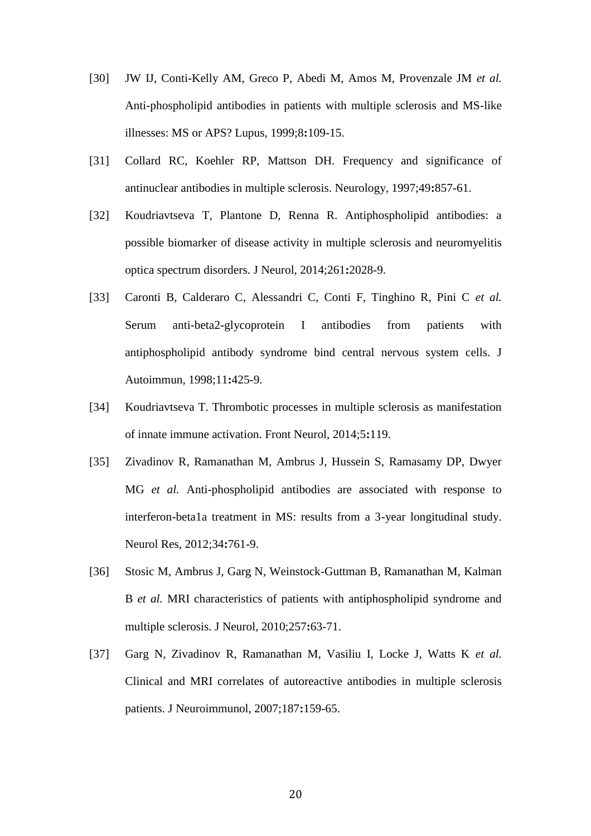- <span id="page-19-0"></span>[30] JW IJ, Conti-Kelly AM, Greco P, Abedi M, Amos M, Provenzale JM *et al.* Anti-phospholipid antibodies in patients with multiple sclerosis and MS-like illnesses: MS or APS? Lupus, 1999;8**:**109-15.
- <span id="page-19-1"></span>[31] Collard RC, Koehler RP, Mattson DH. Frequency and significance of antinuclear antibodies in multiple sclerosis. Neurology, 1997;49**:**857-61.
- <span id="page-19-2"></span>[32] Koudriavtseva T, Plantone D, Renna R. Antiphospholipid antibodies: a possible biomarker of disease activity in multiple sclerosis and neuromyelitis optica spectrum disorders. J Neurol, 2014;261**:**2028-9.
- <span id="page-19-3"></span>[33] Caronti B, Calderaro C, Alessandri C, Conti F, Tinghino R, Pini C *et al.* Serum anti-beta2-glycoprotein I antibodies from patients with antiphospholipid antibody syndrome bind central nervous system cells. J Autoimmun, 1998;11**:**425-9.
- <span id="page-19-4"></span>[34] Koudriavtseva T. Thrombotic processes in multiple sclerosis as manifestation of innate immune activation. Front Neurol, 2014;5**:**119.
- <span id="page-19-5"></span>[35] Zivadinov R, Ramanathan M, Ambrus J, Hussein S, Ramasamy DP, Dwyer MG *et al.* Anti-phospholipid antibodies are associated with response to interferon-beta1a treatment in MS: results from a 3-year longitudinal study. Neurol Res, 2012;34**:**761-9.
- [36] Stosic M, Ambrus J, Garg N, Weinstock-Guttman B, Ramanathan M, Kalman B *et al.* MRI characteristics of patients with antiphospholipid syndrome and multiple sclerosis. J Neurol, 2010;257**:**63-71.
- [37] Garg N, Zivadinov R, Ramanathan M, Vasiliu I, Locke J, Watts K *et al.* Clinical and MRI correlates of autoreactive antibodies in multiple sclerosis patients. J Neuroimmunol, 2007;187**:**159-65.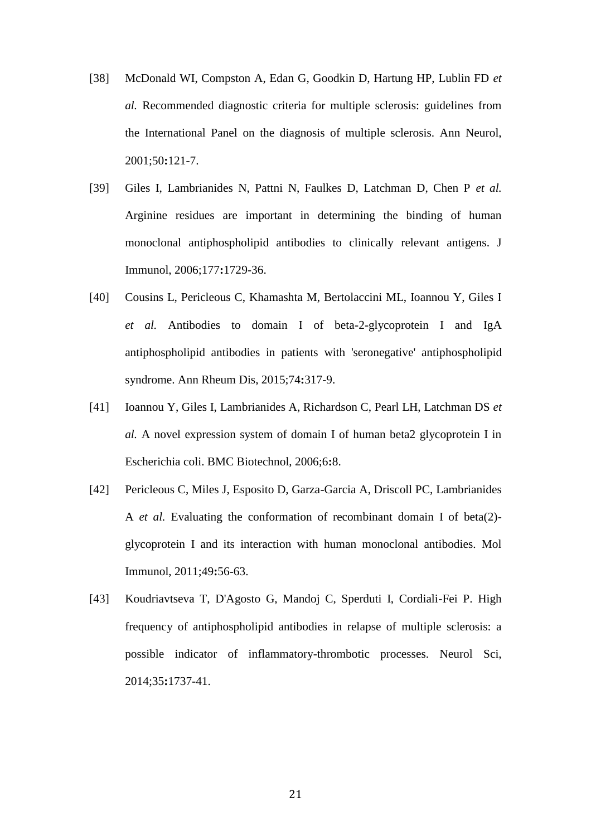- <span id="page-20-0"></span>[38] McDonald WI, Compston A, Edan G, Goodkin D, Hartung HP, Lublin FD *et al.* Recommended diagnostic criteria for multiple sclerosis: guidelines from the International Panel on the diagnosis of multiple sclerosis. Ann Neurol, 2001;50**:**121-7.
- <span id="page-20-1"></span>[39] Giles I, Lambrianides N, Pattni N, Faulkes D, Latchman D, Chen P *et al.* Arginine residues are important in determining the binding of human monoclonal antiphospholipid antibodies to clinically relevant antigens. J Immunol, 2006;177**:**1729-36.
- <span id="page-20-2"></span>[40] Cousins L, Pericleous C, Khamashta M, Bertolaccini ML, Ioannou Y, Giles I *et al.* Antibodies to domain I of beta-2-glycoprotein I and IgA antiphospholipid antibodies in patients with 'seronegative' antiphospholipid syndrome. Ann Rheum Dis, 2015;74**:**317-9.
- <span id="page-20-3"></span>[41] Ioannou Y, Giles I, Lambrianides A, Richardson C, Pearl LH, Latchman DS *et al.* A novel expression system of domain I of human beta2 glycoprotein I in Escherichia coli. BMC Biotechnol, 2006;6**:**8.
- <span id="page-20-4"></span>[42] Pericleous C, Miles J, Esposito D, Garza-Garcia A, Driscoll PC, Lambrianides A *et al.* Evaluating the conformation of recombinant domain I of beta(2) glycoprotein I and its interaction with human monoclonal antibodies. Mol Immunol, 2011;49**:**56-63.
- <span id="page-20-5"></span>[43] Koudriavtseva T, D'Agosto G, Mandoj C, Sperduti I, Cordiali-Fei P. High frequency of antiphospholipid antibodies in relapse of multiple sclerosis: a possible indicator of inflammatory-thrombotic processes. Neurol Sci, 2014;35**:**1737-41.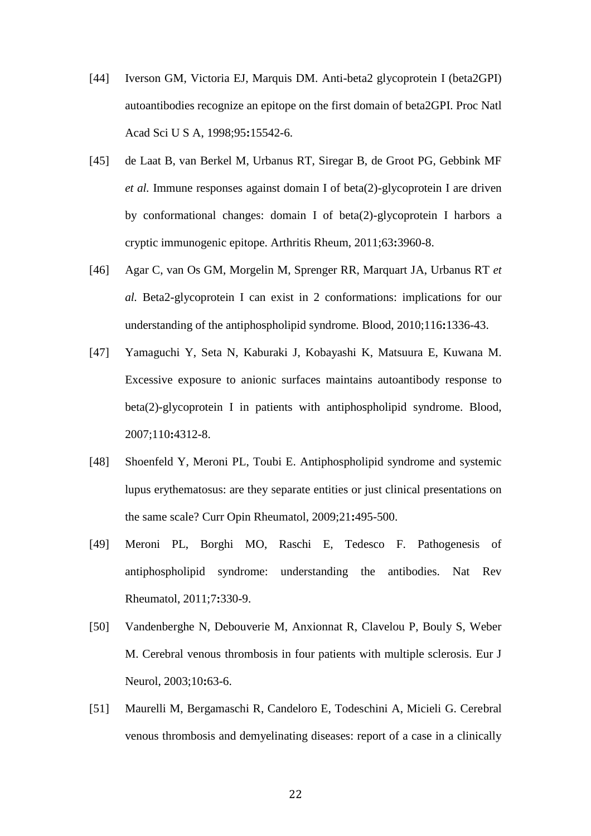- <span id="page-21-0"></span>[44] Iverson GM, Victoria EJ, Marquis DM. Anti-beta2 glycoprotein I (beta2GPI) autoantibodies recognize an epitope on the first domain of beta2GPI. Proc Natl Acad Sci U S A, 1998;95**:**15542-6.
- <span id="page-21-1"></span>[45] de Laat B, van Berkel M, Urbanus RT, Siregar B, de Groot PG, Gebbink MF *et al.* Immune responses against domain I of beta(2)-glycoprotein I are driven by conformational changes: domain I of beta(2)-glycoprotein I harbors a cryptic immunogenic epitope. Arthritis Rheum, 2011;63**:**3960-8.
- <span id="page-21-2"></span>[46] Agar C, van Os GM, Morgelin M, Sprenger RR, Marquart JA, Urbanus RT *et al.* Beta2-glycoprotein I can exist in 2 conformations: implications for our understanding of the antiphospholipid syndrome. Blood, 2010;116**:**1336-43.
- <span id="page-21-3"></span>[47] Yamaguchi Y, Seta N, Kaburaki J, Kobayashi K, Matsuura E, Kuwana M. Excessive exposure to anionic surfaces maintains autoantibody response to beta(2)-glycoprotein I in patients with antiphospholipid syndrome. Blood, 2007;110**:**4312-8.
- <span id="page-21-4"></span>[48] Shoenfeld Y, Meroni PL, Toubi E. Antiphospholipid syndrome and systemic lupus erythematosus: are they separate entities or just clinical presentations on the same scale? Curr Opin Rheumatol, 2009;21**:**495-500.
- <span id="page-21-5"></span>[49] Meroni PL, Borghi MO, Raschi E, Tedesco F. Pathogenesis of antiphospholipid syndrome: understanding the antibodies. Nat Rev Rheumatol, 2011;7**:**330-9.
- <span id="page-21-6"></span>[50] Vandenberghe N, Debouverie M, Anxionnat R, Clavelou P, Bouly S, Weber M. Cerebral venous thrombosis in four patients with multiple sclerosis. Eur J Neurol, 2003;10**:**63-6.
- [51] Maurelli M, Bergamaschi R, Candeloro E, Todeschini A, Micieli G. Cerebral venous thrombosis and demyelinating diseases: report of a case in a clinically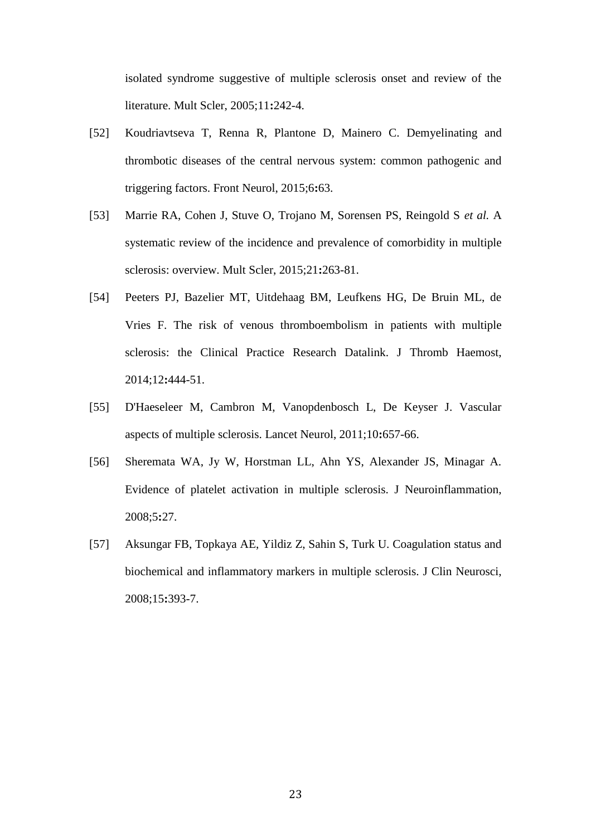isolated syndrome suggestive of multiple sclerosis onset and review of the literature. Mult Scler, 2005;11**:**242-4.

- [52] Koudriavtseva T, Renna R, Plantone D, Mainero C. Demyelinating and thrombotic diseases of the central nervous system: common pathogenic and triggering factors. Front Neurol, 2015;6**:**63.
- <span id="page-22-0"></span>[53] Marrie RA, Cohen J, Stuve O, Trojano M, Sorensen PS, Reingold S *et al.* A systematic review of the incidence and prevalence of comorbidity in multiple sclerosis: overview. Mult Scler, 2015;21**:**263-81.
- <span id="page-22-1"></span>[54] Peeters PJ, Bazelier MT, Uitdehaag BM, Leufkens HG, De Bruin ML, de Vries F. The risk of venous thromboembolism in patients with multiple sclerosis: the Clinical Practice Research Datalink. J Thromb Haemost, 2014;12**:**444-51.
- <span id="page-22-2"></span>[55] D'Haeseleer M, Cambron M, Vanopdenbosch L, De Keyser J. Vascular aspects of multiple sclerosis. Lancet Neurol, 2011;10**:**657-66.
- <span id="page-22-3"></span>[56] Sheremata WA, Jy W, Horstman LL, Ahn YS, Alexander JS, Minagar A. Evidence of platelet activation in multiple sclerosis. J Neuroinflammation, 2008;5**:**27.
- <span id="page-22-4"></span>[57] Aksungar FB, Topkaya AE, Yildiz Z, Sahin S, Turk U. Coagulation status and biochemical and inflammatory markers in multiple sclerosis. J Clin Neurosci, 2008;15**:**393-7.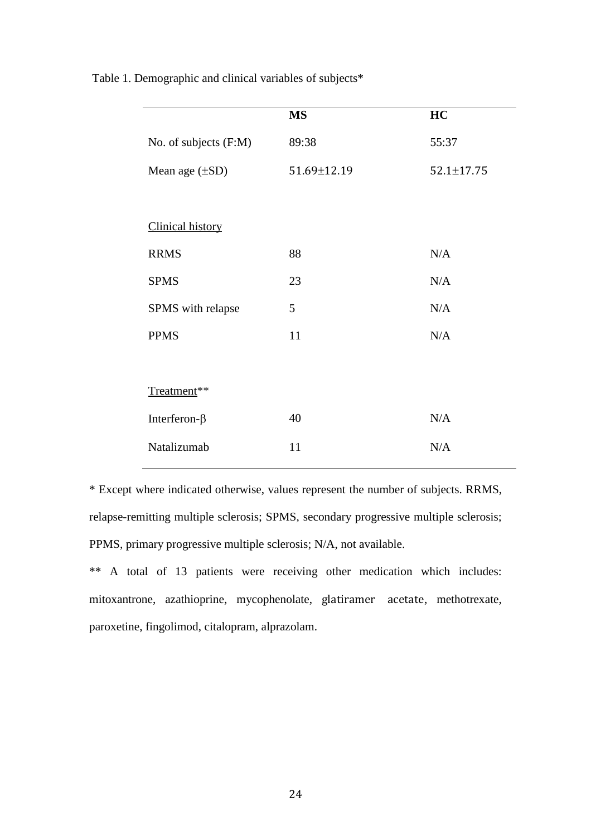|                         | <b>MS</b>   | HC         |  |
|-------------------------|-------------|------------|--|
| No. of subjects (F:M)   | 89:38       | 55:37      |  |
| Mean age $(\pm SD)$     | 51.69±12.19 | 52.1±17.75 |  |
|                         |             |            |  |
| <b>Clinical history</b> |             |            |  |
| <b>RRMS</b>             | 88          | N/A        |  |
| <b>SPMS</b>             | 23          | N/A        |  |
| SPMS with relapse       | 5           | N/A        |  |
| <b>PPMS</b>             | 11          | N/A        |  |
|                         |             |            |  |
| Treatment**             |             |            |  |
| Interferon- $\beta$     | 40          | N/A        |  |
| Natalizumab             | 11          | N/A        |  |
|                         |             |            |  |

Table 1. Demographic and clinical variables of subjects\*

\* Except where indicated otherwise, values represent the number of subjects. RRMS, relapse-remitting multiple sclerosis; SPMS, secondary progressive multiple sclerosis; PPMS, primary progressive multiple sclerosis; N/A, not available.

\*\* A total of 13 patients were receiving other medication which includes: mitoxantrone, azathioprine, mycophenolate, glatiramer acetate, methotrexate, paroxetine, fingolimod, citalopram, alprazolam.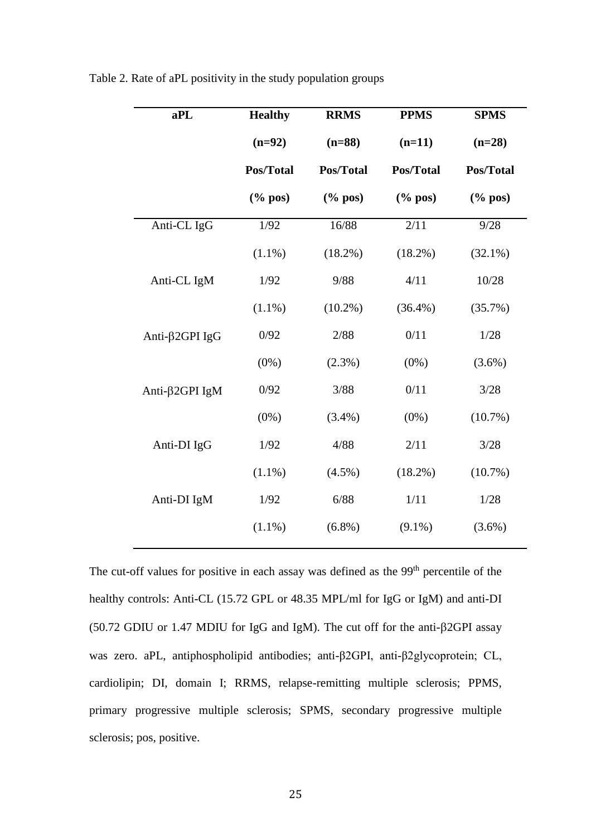| aPL            | <b>Healthy</b>          | <b>RRMS</b>             | <b>PPMS</b>        | <b>SPMS</b>             |
|----------------|-------------------------|-------------------------|--------------------|-------------------------|
|                | $(n=92)$                | $(n=88)$                | $(n=11)$           | $(n=28)$                |
|                | Pos/Total               | Pos/Total               | Pos/Total          | Pos/Total               |
|                | $(% \mathbf{p}$ (% pos) | $(% \mathbf{p}$ (% pos) | $(\% \text{ pos})$ | $(% \mathbf{p}$ (% pos) |
| Anti-CL IgG    | 1/92                    | 16/88                   | 2/11               | 9/28                    |
|                | $(1.1\%)$               | $(18.2\%)$              | (18.2%)            | $(32.1\%)$              |
| Anti-CL IgM    | 1/92                    | 9/88                    | 4/11               | 10/28                   |
|                | $(1.1\%)$               | $(10.2\%)$              | $(36.4\%)$         | (35.7%)                 |
| Anti-β2GPI IgG | 0/92                    | 2/88                    | 0/11               | 1/28                    |
|                | $(0\%)$                 | $(2.3\%)$               | $(0\%)$            | $(3.6\%)$               |
| Anti-β2GPI IgM | 0/92                    | 3/88                    | 0/11               | 3/28                    |
|                | $(0\%)$                 | $(3.4\%)$               | $(0\%)$            | $(10.7\%)$              |
| Anti-DI IgG    | 1/92                    | 4/88                    | 2/11               | 3/28                    |
|                | $(1.1\%)$               | $(4.5\%)$               | $(18.2\%)$         | $(10.7\%)$              |
| Anti-DI IgM    | 1/92                    | 6/88                    | 1/11               | 1/28                    |
|                | $(1.1\%)$               | $(6.8\%)$               | $(9.1\%)$          | $(3.6\%)$               |
|                |                         |                         |                    |                         |

Table 2. Rate of aPL positivity in the study population groups

The cut-off values for positive in each assay was defined as the 99<sup>th</sup> percentile of the healthy controls: Anti-CL (15.72 GPL or 48.35 MPL/ml for IgG or IgM) and anti-DI (50.72 GDIU or 1.47 MDIU for IgG and IgM). The cut off for the anti- $\beta$ 2GPI assay was zero. aPL, antiphospholipid antibodies; anti-β2GPI, anti-β2glycoprotein; CL, cardiolipin; DI, domain I; RRMS, relapse-remitting multiple sclerosis; PPMS, primary progressive multiple sclerosis; SPMS, secondary progressive multiple sclerosis; pos, positive.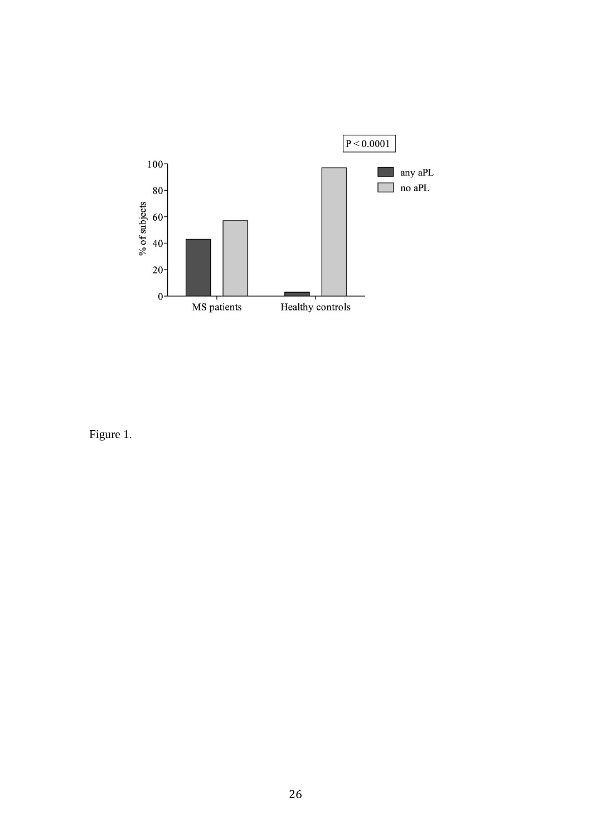

Figure 1.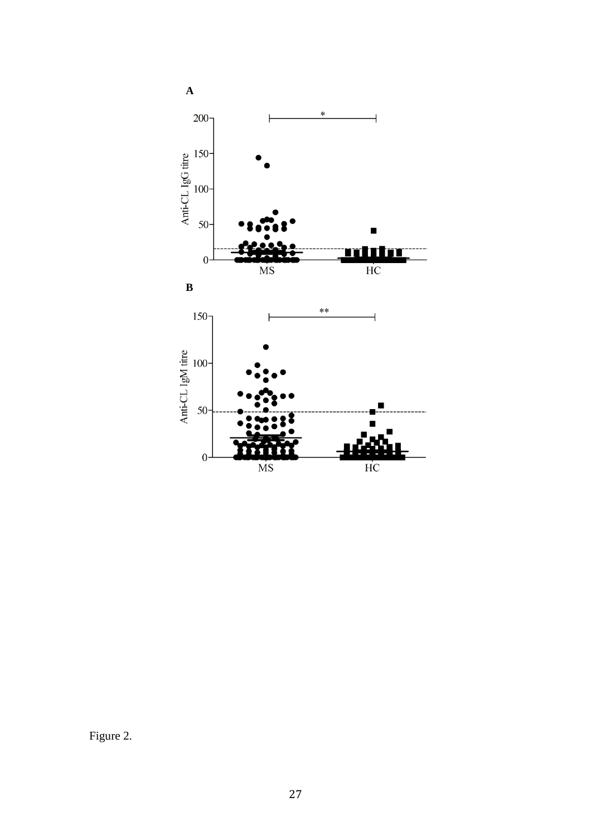

Figure 2.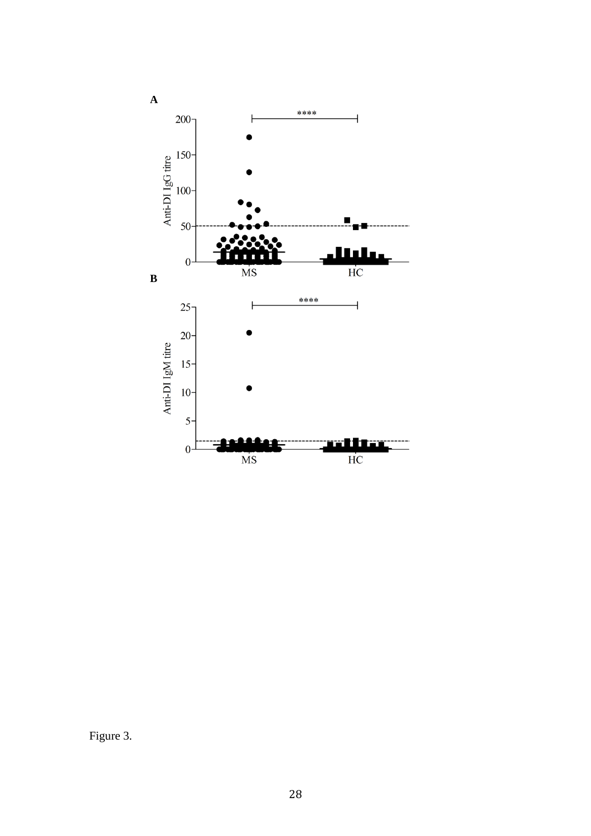

Figure 3.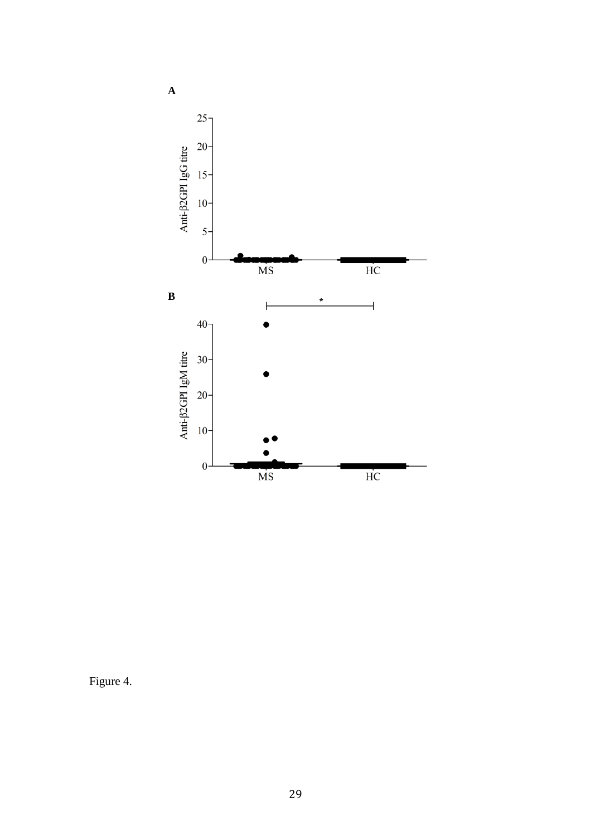

Figure 4.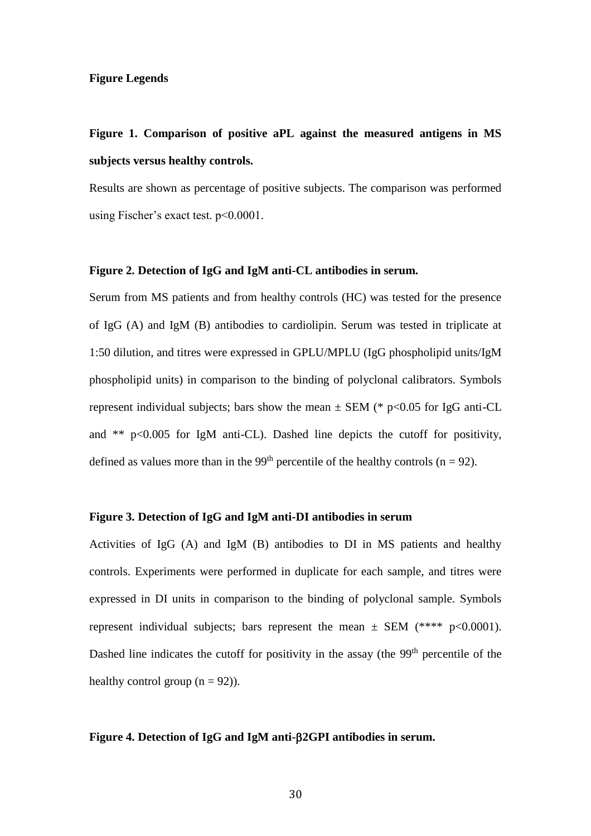## **Figure Legends**

## **Figure 1. Comparison of positive aPL against the measured antigens in MS subjects versus healthy controls.**

Results are shown as percentage of positive subjects. The comparison was performed using Fischer's exact test. p<0.0001.

## **Figure 2. Detection of IgG and IgM anti-CL antibodies in serum.**

Serum from MS patients and from healthy controls (HC) was tested for the presence of IgG (A) and IgM (B) antibodies to cardiolipin. Serum was tested in triplicate at 1:50 dilution, and titres were expressed in GPLU/MPLU (IgG phospholipid units/IgM phospholipid units) in comparison to the binding of polyclonal calibrators. Symbols represent individual subjects; bars show the mean  $\pm$  SEM (\* p<0.05 for IgG anti-CL and \*\*  $p<0.005$  for IgM anti-CL). Dashed line depicts the cutoff for positivity, defined as values more than in the 99<sup>th</sup> percentile of the healthy controls ( $n = 92$ ).

## **Figure 3. Detection of IgG and IgM anti-DI antibodies in serum**

Activities of IgG (A) and IgM (B) antibodies to DI in MS patients and healthy controls. Experiments were performed in duplicate for each sample, and titres were expressed in DI units in comparison to the binding of polyclonal sample. Symbols represent individual subjects; bars represent the mean  $\pm$  SEM (\*\*\*\* p<0.0001). Dashed line indicates the cutoff for positivity in the assay (the 99<sup>th</sup> percentile of the healthy control group  $(n = 92)$ ).

## **Figure 4. Detection of IgG and IgM anti-2GPI antibodies in serum.**